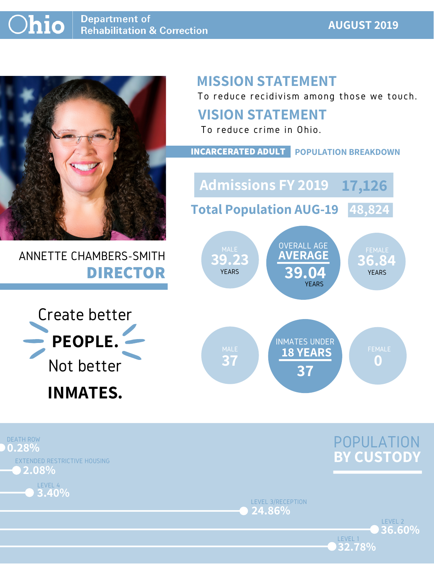### **AUGUST 2019**



## ANNETTE CHAMBERS-SMITH **DIRECTOR**

## **MISSION STATEMENT**

To reduce recidivism among those we touch.





LEVEL 1

LEVEL 3/RECEPTION **24.86%**





### **VISION STATEMENT**



To reduce crime in Ohio.

**INCARCERATED ADULT POPULATION BREAKDOWN**

**Total Population AUG-19 48,824**

**Admissions FY 2019 17,126**

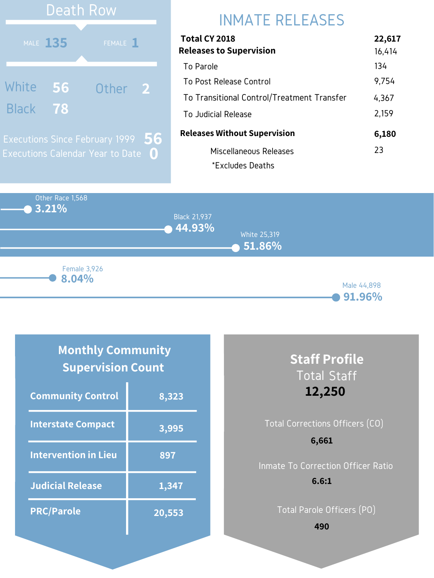Other Race 1,568 **3.21% 44.93% 51.86%** Black 21,937 White 25,319 Male 44,898 **8.04%** Female 3,926

#### **91.96%**

# INMATE RELEASES

| Total CY 2018                              | 22,617 |
|--------------------------------------------|--------|
| <b>Releases to Supervision</b>             | 16,414 |
| To Parole                                  | 134    |
| To Post Release Control                    | 9,754  |
| To Transitional Control/Treatment Transfer | 4,367  |
| To Judicial Release                        | 2,159  |
| <b>Releases Without Supervision</b>        | 6,180  |
| Miscellaneous Releases                     | 23     |
| *Excludes Deaths                           |        |



### **Monthly Community Supervision Count**

| <b>Community Control</b>    | 8,323  |
|-----------------------------|--------|
| <b>Interstate Compact</b>   | 3,995  |
| <b>Intervention in Lieu</b> | 897    |
| <b>Judicial Release</b>     | 1,347  |
| <b>PRC/Parole</b>           | 20,553 |

### **Staff Profile** Total Staff **12,250**

## Total Corrections Officers (CO) Inmate To Correction Officer Ratio **6,661 6.6:1**

Total Parole Officers (PO)

**490**